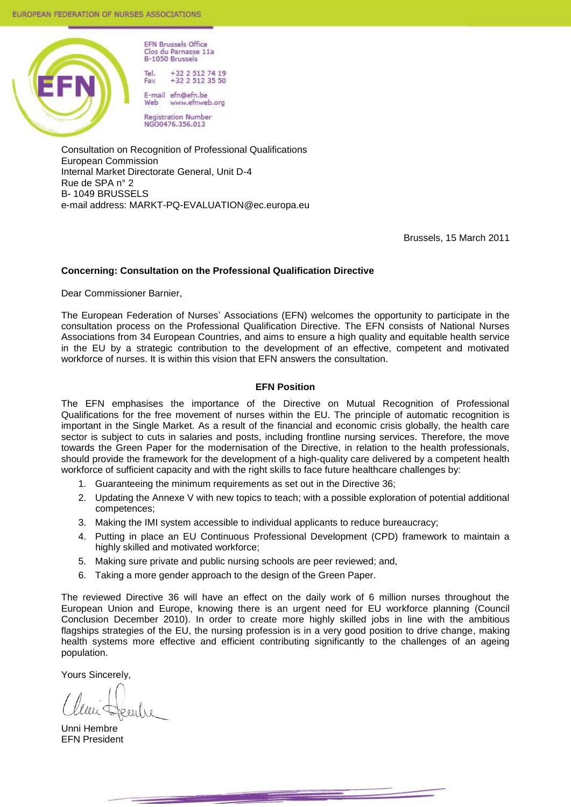

Clos du Parnasse 11a B-1050 Brussels Tel +32 2 512 74 19  $+32$  2 512 35 50 Fax

**FFN Brussels Office** 

F-mail efn@efn.be www.efnweb.org Web

Registration Number<br>NGO0476.356.013

Consultation on Recognition of Professional Qualifications European Commission Internal Market Directorate General, Unit D-4 Rue de SPA n° 2 B- 1049 BRUSSELS e-mail address: MARKT-PQ-EVALUATION@ec.europa.eu

Brussels, 15 March 2011

#### **Concerning: Consultation on the Professional Qualification Directive**

Dear Commissioner Barnier,

The European Federation of Nurses' Associations (EFN) welcomes the opportunity to participate in the consultation process on the Professional Qualification Directive. The EFN consists of National Nurses Associations from 34 European Countries, and aims to ensure a high quality and equitable health service in the EU by a strategic contribution to the development of an effective, competent and motivated workforce of nurses. It is within this vision that EFN answers the consultation.

#### **EFN Position**

The EFN emphasises the importance of the Directive on Mutual Recognition of Professional Qualifications for the free movement of nurses within the EU. The principle of automatic recognition is important in the Single Market. As a result of the financial and economic crisis globally, the health care sector is subject to cuts in salaries and posts, including frontline nursing services. Therefore, the move towards the Green Paper for the modernisation of the Directive, in relation to the health professionals, should provide the framework for the development of a high-quality care delivered by a competent health workforce of sufficient capacity and with the right skills to face future healthcare challenges by:

- 1. Guaranteeing the minimum requirements as set out in the Directive 36;
- 2. Updating the Annexe V with new topics to teach; with a possible exploration of potential additional competences;
- 3. Making the IMI system accessible to individual applicants to reduce bureaucracy;
- 4. Putting in place an EU Continuous Professional Development (CPD) framework to maintain a highly skilled and motivated workforce;
- 5. Making sure private and public nursing schools are peer reviewed; and,
- 6. Taking a more gender approach to the design of the Green Paper.

The reviewed Directive 36 will have an effect on the daily work of 6 million nurses throughout the European Union and Europe, knowing there is an urgent need for EU workforce planning (Council Conclusion December 2010). In order to create more highly skilled jobs in line with the ambitious flagships strategies of the EU, the nursing profession is in a very good position to drive change, making health systems more effective and efficient contributing significantly to the challenges of an ageing population.

Yours Sincerely,

Unni Hembre EFN President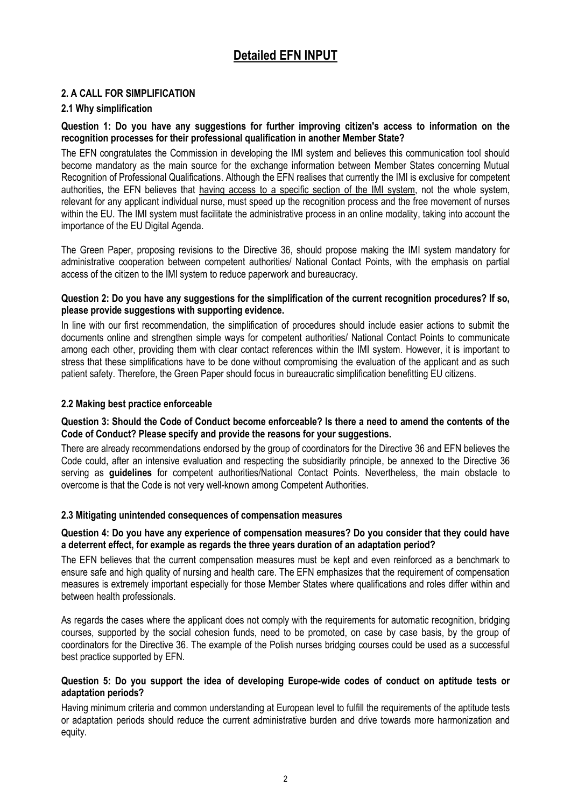# **Detailed EFN INPUT**

# **2. A CALL FOR SIMPLIFICATION**

# **2.1 Why simplification**

# **Question 1: Do you have any suggestions for further improving citizen's access to information on the recognition processes for their professional qualification in another Member State?**

The EFN congratulates the Commission in developing the IMI system and believes this communication tool should become mandatory as the main source for the exchange information between Member States concerning Mutual Recognition of Professional Qualifications. Although the EFN realises that currently the IMI is exclusive for competent authorities, the EFN believes that having access to a specific section of the IMI system, not the whole system, relevant for any applicant individual nurse, must speed up the recognition process and the free movement of nurses within the EU. The IMI system must facilitate the administrative process in an online modality, taking into account the importance of the EU Digital Agenda.

The Green Paper, proposing revisions to the Directive 36, should propose making the IMI system mandatory for administrative cooperation between competent authorities/ National Contact Points, with the emphasis on partial access of the citizen to the IMI system to reduce paperwork and bureaucracy.

## **Question 2: Do you have any suggestions for the simplification of the current recognition procedures? If so, please provide suggestions with supporting evidence.**

In line with our first recommendation, the simplification of procedures should include easier actions to submit the documents online and strengthen simple ways for competent authorities/ National Contact Points to communicate among each other, providing them with clear contact references within the IMI system. However, it is important to stress that these simplifications have to be done without compromising the evaluation of the applicant and as such patient safety. Therefore, the Green Paper should focus in bureaucratic simplification benefitting EU citizens.

# **2.2 Making best practice enforceable**

## **Question 3: Should the Code of Conduct become enforceable? Is there a need to amend the contents of the Code of Conduct? Please specify and provide the reasons for your suggestions.**

There are already recommendations endorsed by the group of coordinators for the Directive 36 and EFN believes the Code could, after an intensive evaluation and respecting the subsidiarity principle, be annexed to the Directive 36 serving as **guidelines** for competent authorities/National Contact Points. Nevertheless, the main obstacle to overcome is that the Code is not very well-known among Competent Authorities.

# **2.3 Mitigating unintended consequences of compensation measures**

#### **Question 4: Do you have any experience of compensation measures? Do you consider that they could have a deterrent effect, for example as regards the three years duration of an adaptation period?**

The EFN believes that the current compensation measures must be kept and even reinforced as a benchmark to ensure safe and high quality of nursing and health care. The EFN emphasizes that the requirement of compensation measures is extremely important especially for those Member States where qualifications and roles differ within and between health professionals.

As regards the cases where the applicant does not comply with the requirements for automatic recognition, bridging courses, supported by the social cohesion funds, need to be promoted, on case by case basis, by the group of coordinators for the Directive 36. The example of the Polish nurses bridging courses could be used as a successful best practice supported by EFN.

#### **Question 5: Do you support the idea of developing Europe-wide codes of conduct on aptitude tests or adaptation periods?**

Having minimum criteria and common understanding at European level to fulfill the requirements of the aptitude tests or adaptation periods should reduce the current administrative burden and drive towards more harmonization and equity.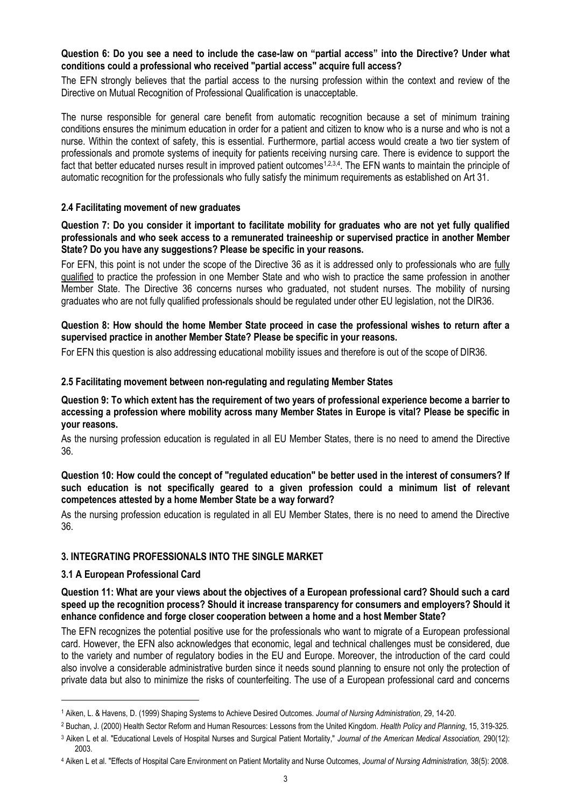## **Question 6: Do you see a need to include the case-law on "partial access" into the Directive? Under what conditions could a professional who received "partial access" acquire full access?**

The EFN strongly believes that the partial access to the nursing profession within the context and review of the Directive on Mutual Recognition of Professional Qualification is unacceptable.

The nurse responsible for general care benefit from automatic recognition because a set of minimum training conditions ensures the minimum education in order for a patient and citizen to know who is a nurse and who is not a nurse. Within the context of safety, this is essential. Furthermore, partial access would create a two tier system of professionals and promote systems of inequity for patients receiving nursing care. There is evidence to support the fact that better educated nurses result in improved patient outcomes<sup>1,2,3,4</sup>. The EFN wants to maintain the principle of automatic recognition for the professionals who fully satisfy the minimum requirements as established on Art 31.

## **2.4 Facilitating movement of new graduates**

#### **Question 7: Do you consider it important to facilitate mobility for graduates who are not yet fully qualified professionals and who seek access to a remunerated traineeship or supervised practice in another Member State? Do you have any suggestions? Please be specific in your reasons.**

For EFN, this point is not under the scope of the Directive 36 as it is addressed only to professionals who are fully qualified to practice the profession in one Member State and who wish to practice the same profession in another Member State. The Directive 36 concerns nurses who graduated, not student nurses. The mobility of nursing graduates who are not fully qualified professionals should be regulated under other EU legislation, not the DIR36.

#### **Question 8: How should the home Member State proceed in case the professional wishes to return after a supervised practice in another Member State? Please be specific in your reasons.**

For EFN this question is also addressing educational mobility issues and therefore is out of the scope of DIR36.

## **2.5 Facilitating movement between non-regulating and regulating Member States**

**Question 9: To which extent has the requirement of two years of professional experience become a barrier to accessing a profession where mobility across many Member States in Europe is vital? Please be specific in your reasons.**

As the nursing profession education is regulated in all EU Member States, there is no need to amend the Directive 36.

## **Question 10: How could the concept of "regulated education" be better used in the interest of consumers? If such education is not specifically geared to a given profession could a minimum list of relevant competences attested by a home Member State be a way forward?**

As the nursing profession education is regulated in all EU Member States, there is no need to amend the Directive 36.

# **3. INTEGRATING PROFESSIONALS INTO THE SINGLE MARKET**

# **3.1 A European Professional Card**

 $\overline{a}$ 

**Question 11: What are your views about the objectives of a European professional card? Should such a card speed up the recognition process? Should it increase transparency for consumers and employers? Should it enhance confidence and forge closer cooperation between a home and a host Member State?**

The EFN recognizes the potential positive use for the professionals who want to migrate of a European professional card. However, the EFN also acknowledges that economic, legal and technical challenges must be considered, due to the variety and number of regulatory bodies in the EU and Europe. Moreover, the introduction of the card could also involve a considerable administrative burden since it needs sound planning to ensure not only the protection of private data but also to minimize the risks of counterfeiting. The use of a European professional card and concerns

<sup>1</sup> Aiken, L. & Havens, D. (1999) Shaping Systems to Achieve Desired Outcomes. *Journal of Nursing Administration*, 29, 14-20.

<sup>2</sup> Buchan, J. (2000) Health Sector Reform and Human Resources: Lessons from the United Kingdom. *Health Policy and Planning*, 15, 319-325.

<sup>3</sup> Aiken L et al. "Educational Levels of Hospital Nurses and Surgical Patient Mortality," *Journal of the American Medical Association,* 290(12): 2003.

<sup>4</sup> Aiken L et al. "Effects of Hospital Care Environment on Patient Mortality and Nurse Outcomes, *Journal of Nursing Administration,* 38(5): 2008.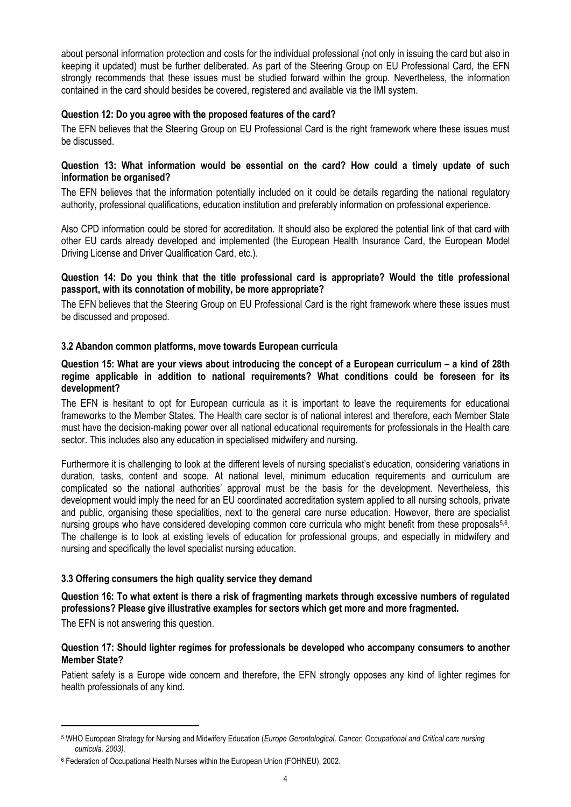about personal information protection and costs for the individual professional (not only in issuing the card but also in keeping it updated) must be further deliberated. As part of the Steering Group on EU Professional Card, the EFN strongly recommends that these issues must be studied forward within the group. Nevertheless, the information contained in the card should besides be covered, registered and available via the IMI system.

# **Question 12: Do you agree with the proposed features of the card?**

The EFN believes that the Steering Group on EU Professional Card is the right framework where these issues must be discussed.

#### **Question 13: What information would be essential on the card? How could a timely update of such information be organised?**

The EFN believes that the information potentially included on it could be details regarding the national regulatory authority, professional qualifications, education institution and preferably information on professional experience.

Also CPD information could be stored for accreditation. It should also be explored the potential link of that card with other EU cards already developed and implemented (the European Health Insurance Card, the European Model Driving License and Driver Qualification Card, etc.).

## **Question 14: Do you think that the title professional card is appropriate? Would the title professional passport, with its connotation of mobility, be more appropriate?**

The EFN believes that the Steering Group on EU Professional Card is the right framework where these issues must be discussed and proposed.

#### **3.2 Abandon common platforms, move towards European curricula**

#### **Question 15: What are your views about introducing the concept of a European curriculum – a kind of 28th regime applicable in addition to national requirements? What conditions could be foreseen for its development?**

The EFN is hesitant to opt for European curricula as it is important to leave the requirements for educational frameworks to the Member States. The Health care sector is of national interest and therefore, each Member State must have the decision-making power over all national educational requirements for professionals in the Health care sector. This includes also any education in specialised midwifery and nursing.

Furthermore it is challenging to look at the different levels of nursing specialist"s education, considering variations in duration, tasks, content and scope. At national level, minimum education requirements and curriculum are complicated so the national authorities' approval must be the basis for the development. Nevertheless, this development would imply the need for an EU coordinated accreditation system applied to all nursing schools, private and public, organising these specialities, next to the general care nurse education. However, there are specialist nursing groups who have considered developing common core curricula who might benefit from these proposals<sup>5,6</sup>. The challenge is to look at existing levels of education for professional groups, and especially in midwifery and nursing and specifically the level specialist nursing education.

# **3.3 Offering consumers the high quality service they demand**

# **Question 16: To what extent is there a risk of fragmenting markets through excessive numbers of regulated professions? Please give illustrative examples for sectors which get more and more fragmented.**

The EFN is not answering this question.

## **Question 17: Should lighter regimes for professionals be developed who accompany consumers to another Member State?**

Patient safety is a Europe wide concern and therefore, the EFN strongly opposes any kind of lighter regimes for health professionals of any kind.

<sup>5</sup> WHO European Strategy for Nursing and Midwifery Education (*Europe Gerontological, Cancer, Occupational and Critical care nursing curricula, 2003).* 

<sup>6</sup> Federation of Occupational Health Nurses within the European Union (FOHNEU), 2002.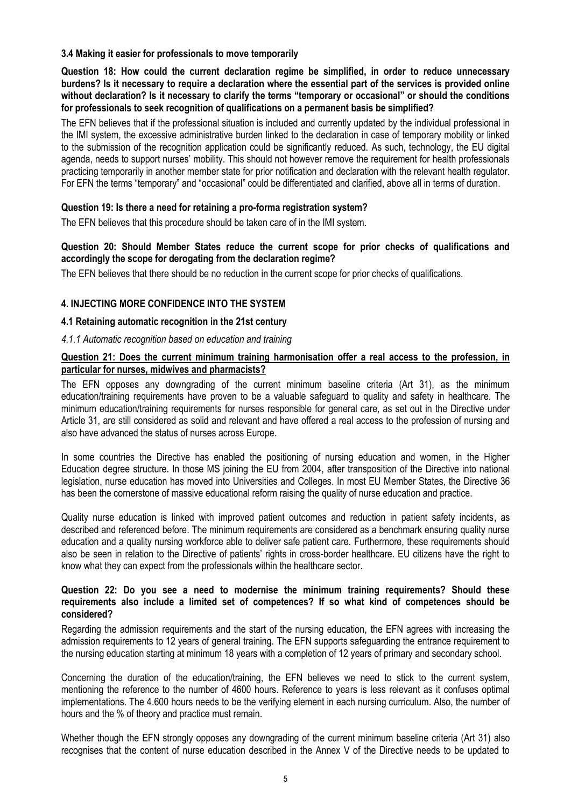## **3.4 Making it easier for professionals to move temporarily**

**Question 18: How could the current declaration regime be simplified, in order to reduce unnecessary burdens? Is it necessary to require a declaration where the essential part of the services is provided online without declaration? Is it necessary to clarify the terms "temporary or occasional" or should the conditions for professionals to seek recognition of qualifications on a permanent basis be simplified?**

The EFN believes that if the professional situation is included and currently updated by the individual professional in the IMI system, the excessive administrative burden linked to the declaration in case of temporary mobility or linked to the submission of the recognition application could be significantly reduced. As such, technology, the EU digital agenda, needs to support nurses" mobility. This should not however remove the requirement for health professionals practicing temporarily in another member state for prior notification and declaration with the relevant health regulator. For EFN the terms "temporary" and "occasional" could be differentiated and clarified, above all in terms of duration.

# **Question 19: Is there a need for retaining a pro-forma registration system?**

The EFN believes that this procedure should be taken care of in the IMI system.

## **Question 20: Should Member States reduce the current scope for prior checks of qualifications and accordingly the scope for derogating from the declaration regime?**

The EFN believes that there should be no reduction in the current scope for prior checks of qualifications.

# **4. INJECTING MORE CONFIDENCE INTO THE SYSTEM**

## **4.1 Retaining automatic recognition in the 21st century**

## *4.1.1 Automatic recognition based on education and training*

#### **Question 21: Does the current minimum training harmonisation offer a real access to the profession, in particular for nurses, midwives and pharmacists?**

The EFN opposes any downgrading of the current minimum baseline criteria (Art 31), as the minimum education/training requirements have proven to be a valuable safeguard to quality and safety in healthcare. The minimum education/training requirements for nurses responsible for general care, as set out in the Directive under Article 31, are still considered as solid and relevant and have offered a real access to the profession of nursing and also have advanced the status of nurses across Europe.

In some countries the Directive has enabled the positioning of nursing education and women, in the Higher Education degree structure. In those MS joining the EU from 2004, after transposition of the Directive into national legislation, nurse education has moved into Universities and Colleges. In most EU Member States, the Directive 36 has been the cornerstone of massive educational reform raising the quality of nurse education and practice.

Quality nurse education is linked with improved patient outcomes and reduction in patient safety incidents, as described and referenced before. The minimum requirements are considered as a benchmark ensuring quality nurse education and a quality nursing workforce able to deliver safe patient care. Furthermore, these requirements should also be seen in relation to the Directive of patients' rights in cross-border healthcare. EU citizens have the right to know what they can expect from the professionals within the healthcare sector.

#### **Question 22: Do you see a need to modernise the minimum training requirements? Should these requirements also include a limited set of competences? If so what kind of competences should be considered?**

Regarding the admission requirements and the start of the nursing education, the EFN agrees with increasing the admission requirements to 12 years of general training. The EFN supports safeguarding the entrance requirement to the nursing education starting at minimum 18 years with a completion of 12 years of primary and secondary school.

Concerning the duration of the education/training, the EFN believes we need to stick to the current system, mentioning the reference to the number of 4600 hours. Reference to years is less relevant as it confuses optimal implementations. The 4.600 hours needs to be the verifying element in each nursing curriculum. Also, the number of hours and the % of theory and practice must remain.

Whether though the EFN strongly opposes any downgrading of the current minimum baseline criteria (Art 31) also recognises that the content of nurse education described in the Annex V of the Directive needs to be updated to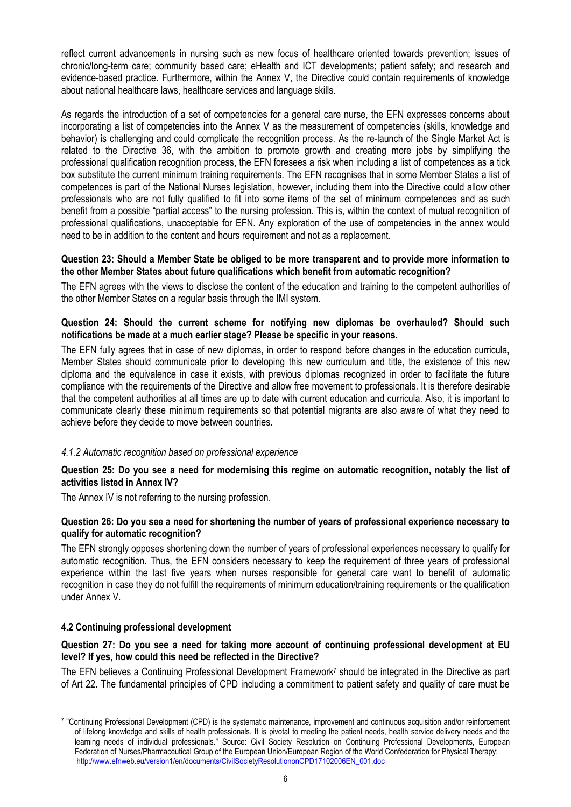reflect current advancements in nursing such as new focus of healthcare oriented towards prevention; issues of chronic/long-term care; community based care; eHealth and ICT developments; patient safety; and research and evidence-based practice. Furthermore, within the Annex V, the Directive could contain requirements of knowledge about national healthcare laws, healthcare services and language skills.

As regards the introduction of a set of competencies for a general care nurse, the EFN expresses concerns about incorporating a list of competencies into the Annex V as the measurement of competencies (skills, knowledge and behavior) is challenging and could complicate the recognition process. As the re-launch of the Single Market Act is related to the Directive 36, with the ambition to promote growth and creating more jobs by simplifying the professional qualification recognition process, the EFN foresees a risk when including a list of competences as a tick box substitute the current minimum training requirements. The EFN recognises that in some Member States a list of competences is part of the National Nurses legislation, however, including them into the Directive could allow other professionals who are not fully qualified to fit into some items of the set of minimum competences and as such benefit from a possible "partial access" to the nursing profession. This is, within the context of mutual recognition of professional qualifications, unacceptable for EFN. Any exploration of the use of competencies in the annex would need to be in addition to the content and hours requirement and not as a replacement.

# **Question 23: Should a Member State be obliged to be more transparent and to provide more information to the other Member States about future qualifications which benefit from automatic recognition?**

The EFN agrees with the views to disclose the content of the education and training to the competent authorities of the other Member States on a regular basis through the IMI system.

# **Question 24: Should the current scheme for notifying new diplomas be overhauled? Should such notifications be made at a much earlier stage? Please be specific in your reasons.**

The EFN fully agrees that in case of new diplomas, in order to respond before changes in the education curricula, Member States should communicate prior to developing this new curriculum and title, the existence of this new diploma and the equivalence in case it exists, with previous diplomas recognized in order to facilitate the future compliance with the requirements of the Directive and allow free movement to professionals. It is therefore desirable that the competent authorities at all times are up to date with current education and curricula. Also, it is important to communicate clearly these minimum requirements so that potential migrants are also aware of what they need to achieve before they decide to move between countries.

# *4.1.2 Automatic recognition based on professional experience*

## **Question 25: Do you see a need for modernising this regime on automatic recognition, notably the list of activities listed in Annex IV?**

The Annex IV is not referring to the nursing profession.

# **Question 26: Do you see a need for shortening the number of years of professional experience necessary to qualify for automatic recognition?**

The EFN strongly opposes shortening down the number of years of professional experiences necessary to qualify for automatic recognition. Thus, the EFN considers necessary to keep the requirement of three years of professional experience within the last five years when nurses responsible for general care want to benefit of automatic recognition in case they do not fulfill the requirements of minimum education/training requirements or the qualification under Annex V.

# **4.2 Continuing professional development**

 $\overline{a}$ 

# **Question 27: Do you see a need for taking more account of continuing professional development at EU level? If yes, how could this need be reflected in the Directive?**

The EFN believes a Continuing Professional Development Framework<sup>7</sup> should be integrated in the Directive as part of Art 22. The fundamental principles of CPD including a commitment to patient safety and quality of care must be

<sup>7</sup> "Continuing Professional Development (CPD) is the systematic maintenance, improvement and continuous acquisition and/or reinforcement of lifelong knowledge and skills of health professionals. It is pivotal to meeting the patient needs, health service delivery needs and the learning needs of individual professionals." Source: Civil Society Resolution on Continuing Professional Developments, European Federation of Nurses/Pharmaceutical Group of the European Union/European Region of the World Confederation for Physical Therapy; [http://www.efnweb.eu/version1/en/documents/CivilSocietyResolutiononCPD17102006EN\\_001.doc](http://www.efnweb.eu/version1/en/documents/CivilSocietyResolutiononCPD17102006EN_001.doc)